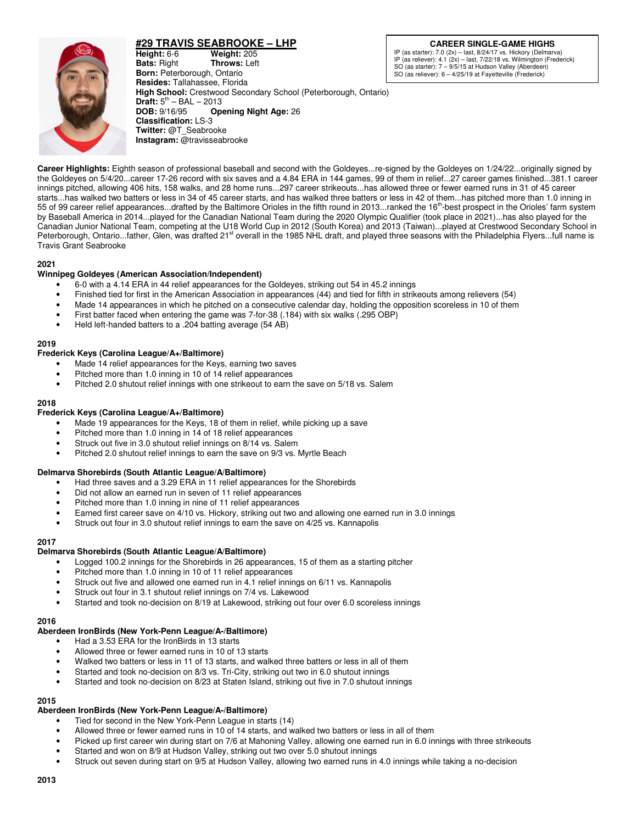

# **#29 TRAVIS SEABROOKE – LHP**

**CAREER SINGLE-GAME HIGHS** IP (as starter): 7.0 (2x) – last, 8/24/17 vs. Hickory (Delmarva) IP (as reliever): 4.1 (2x) – last, 7/22/18 vs. Wilmington (Frederick) SO (as starter): 7 – 9/5/15 at Hudson Valley (Aberdeen)

SO (as reliever): 6 – 4/25/19 at Fayetteville (Frederick)

**Height:** 6-6 **Weight:** 205<br> **Bats:** Right **Throws:** Lef **Throws:** Left **Born:** Peterborough, Ontario **Resides:** Tallahassee, Florida **High School:** Crestwood Secondary School (Peterborough, Ontario) **Draft:**  $5^{th}$  – BAL – 2013 **DOB:** 9/16/95 **Opening Night Age:** 26 **Classification:** LS-3 **Twitter:** @T\_Seabrooke **Instagram:** @travisseabrooke

**Career Highlights:** Eighth season of professional baseball and second with the Goldeyes...re-signed by the Goldeyes on 1/24/22...originally signed by the Goldeyes on 5/4/20...career 17-26 record with six saves and a 4.84 ERA in 144 games, 99 of them in relief...27 career games finished...381.1 career innings pitched, allowing 406 hits, 158 walks, and 28 home runs...297 career strikeouts...has allowed three or fewer earned runs in 31 of 45 career starts...has walked two batters or less in 34 of 45 career starts, and has walked three batters or less in 42 of them...has pitched more than 1.0 inning in 55 of 99 career relief appearances...drafted by the Baltimore Orioles in the fifth round in 2013...ranked the 16<sup>th</sup>-best prospect in the Orioles' farm system by Baseball America in 2014...played for the Canadian National Team during the 2020 Olympic Qualifier (took place in 2021)...has also played for the Canadian Junior National Team, competing at the U18 World Cup in 2012 (South Korea) and 2013 (Taiwan)...played at Crestwood Secondary School in Peterborough, Ontario...father, Glen, was drafted 21<sup>st</sup> overall in the 1985 NHL draft, and played three seasons with the Philadelphia Flyers...full name is Travis Grant Seabrooke

## **2021**

# **Winnipeg Goldeyes (American Association/Independent)**

- 6-0 with a 4.14 ERA in 44 relief appearances for the Goldeyes, striking out 54 in 45.2 innings
- Finished tied for first in the American Association in appearances (44) and tied for fifth in strikeouts among relievers (54)
- Made 14 appearances in which he pitched on a consecutive calendar day, holding the opposition scoreless in 10 of them
- First batter faced when entering the game was 7-for-38 (.184) with six walks (.295 OBP)
- Held left-handed batters to a .204 batting average (54 AB)

#### **2019**

## **Frederick Keys (Carolina League/A+/Baltimore)**

- Made 14 relief appearances for the Keys, earning two saves
- Pitched more than 1.0 inning in 10 of 14 relief appearances
- Pitched 2.0 shutout relief innings with one strikeout to earn the save on 5/18 vs. Salem

#### **2018**

#### **Frederick Keys (Carolina League/A+/Baltimore)**

- Made 19 appearances for the Keys, 18 of them in relief, while picking up a save
- Pitched more than 1.0 inning in 14 of 18 relief appearances
- Struck out five in 3.0 shutout relief innings on 8/14 vs. Salem
- Pitched 2.0 shutout relief innings to earn the save on 9/3 vs. Myrtle Beach

## **Delmarva Shorebirds (South Atlantic League/A/Baltimore)**

- Had three saves and a 3.29 ERA in 11 relief appearances for the Shorebirds
- Did not allow an earned run in seven of 11 relief appearances
- Pitched more than 1.0 inning in nine of 11 relief appearances
- Earned first career save on 4/10 vs. Hickory, striking out two and allowing one earned run in 3.0 innings
- Struck out four in 3.0 shutout relief innings to earn the save on 4/25 vs. Kannapolis

## **2017**

## **Delmarva Shorebirds (South Atlantic League/A/Baltimore)**

- Logged 100.2 innings for the Shorebirds in 26 appearances, 15 of them as a starting pitcher
- Pitched more than 1.0 inning in 10 of 11 relief appearances
- Struck out five and allowed one earned run in 4.1 relief innings on 6/11 vs. Kannapolis
- Struck out four in 3.1 shutout relief innings on 7/4 vs. Lakewood
- Started and took no-decision on 8/19 at Lakewood, striking out four over 6.0 scoreless innings

#### **2016**

#### **Aberdeen IronBirds (New York-Penn League/A-/Baltimore)**

- Had a 3.53 ERA for the IronBirds in 13 starts
- Allowed three or fewer earned runs in 10 of 13 starts
- Walked two batters or less in 11 of 13 starts, and walked three batters or less in all of them
- Started and took no-decision on 8/3 vs. Tri-City, striking out two in 6.0 shutout innings
- Started and took no-decision on 8/23 at Staten Island, striking out five in 7.0 shutout innings

# **2015**

# **Aberdeen IronBirds (New York-Penn League/A-/Baltimore)**

- Tied for second in the New York-Penn League in starts (14)
- Allowed three or fewer earned runs in 10 of 14 starts, and walked two batters or less in all of them
- Picked up first career win during start on 7/6 at Mahoning Valley, allowing one earned run in 6.0 innings with three strikeouts
- Started and won on 8/9 at Hudson Valley, striking out two over 5.0 shutout innings
- Struck out seven during start on 9/5 at Hudson Valley, allowing two earned runs in 4.0 innings while taking a no-decision